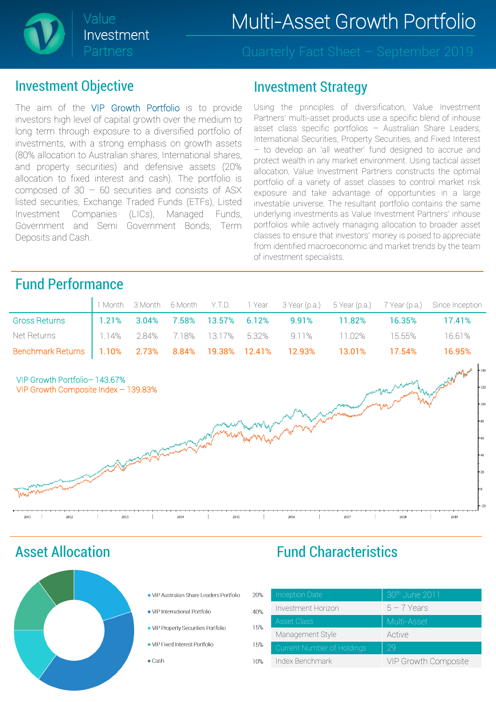

#### Investment Objective

The aim of the VIP Growth Portfolio is to provide investors high level of capital growth over the medium to long term through exposure to a diversified portfolio of investments, with a strong emphasis on growth assets (80% allocation to Australian shares, International shares, and property securities) and defensive assets (20% allocation to fixed interest and cash). The portfolio is composed of  $30 - 60$  securities and consists of ASX listed securities, Exchange Traded Funds (ETFs), Listed Investment Companies (LICs), Managed Funds, Government and Semi Government Bonds, Term Deposits and Cash.

#### Investment Strategy

Using the principles of diversification, Value Investment Partners' multi-asset products use a specific blend of inhouse asset class specific portfolios – Australian Share Leaders, International Securities, Property Securities, and Fixed Interest – to develop an 'all weather' fund designed to accrue and protect wealth in any market environment. Using tactical asset allocation, Value Investment Partners constructs the optimal portfolio of a variety of asset classes to control market risk exposure and take advantage of opportunities in a large investable universe. The resultant portfolio contains the same underlying investments as Value Investment Partners' inhouse portfolios while actively managing allocation to broader asset classes to ensure that investors' money is poised to appreciate from identified macroeconomic and market trends by the team of investment specialists.

### Fund Performance

|                                                                   |  |  |  |                                                                   |        | 1 Month 3 Month 6 Month Y.T.D. 1 Year 3 Year (p.a.) 5 Year (p.a.) 7 Year (p.a.) Since Inception |
|-------------------------------------------------------------------|--|--|--|-------------------------------------------------------------------|--------|-------------------------------------------------------------------------------------------------|
| <b>Gross Returns</b>                                              |  |  |  | $\vert$ 1.21% 3.04% 7.58% 13.57% 6.12% 9.91% 11.82% 16.35% 17.41% |        |                                                                                                 |
| Net Returns 1.14% 2.84% 7.18% 13.17% 5.32% 9.11% 11.02% 15.55%    |  |  |  |                                                                   |        | -16.61%                                                                                         |
| Benchmark Returns   1.10% 2.73% 8.84% 19.38% 12.41% 12.93% 13.01% |  |  |  |                                                                   | 17.54% | 16.95%                                                                                          |



Asset Allocation



- VIP Australian Share Leaders Portfolio
- VIP International Portfolio
- VIP Property Securities Portfolio
- VIP Fixed Interest Portfolio
- $\blacksquare$  Cash

### Fund Characteristics

| 20% | <b>Inception Date</b>      | 30th June 2011       |
|-----|----------------------------|----------------------|
| 40% | Investment Horizon         | $5 - 7$ Years        |
| 15% | <b>Asset Class</b>         | Multi-Asset          |
|     | Management Style           | Active               |
| 15% | Current Number of Holdings | 29                   |
| 10% | Index Benchmark            | VIP Growth Composite |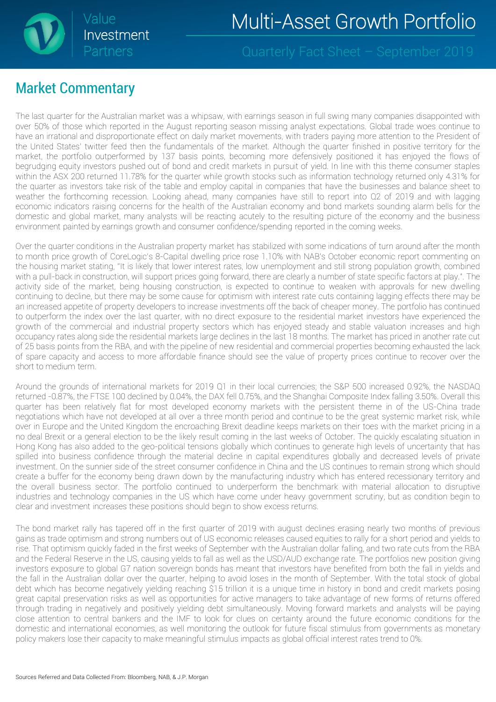

### Market Commentary

The last quarter for the Australian market was a whipsaw, with earnings season in full swing many companies disappointed with over 50% of those which reported in the August reporting season missing analyst expectations. Global trade woes continue to have an irrational and disproportionate effect on daily market movements, with traders paying more attention to the President of the United States' twitter feed then the fundamentals of the market. Although the quarter finished in positive territory for the market, the portfolio outperformed by 137 basis points, becoming more defensively positioned it has enjoyed the flows of begrudging equity investors pushed out of bond and credit markets in pursuit of yield. In line with this theme consumer staples within the ASX 200 returned 11.78% for the quarter while growth stocks such as information technology returned only 4.31% for the quarter as investors take risk of the table and employ capital in companies that have the businesses and balance sheet to weather the forthcoming recession. Looking ahead, many companies have still to report into Q2 of 2019 and with lagging economic indicators raising concerns for the health of the Australian economy and bond markets sounding alarm bells for the domestic and global market, many analysts will be reacting acutely to the resulting picture of the economy and the business environment painted by earnings growth and consumer confidence/spending reported in the coming weeks.

Over the quarter conditions in the Australian property market has stabilized with some indications of turn around after the month to month price growth of CoreLogic's 8-Capital dwelling price rose 1.10% with NAB's October economic report commenting on the housing market stating, "It is likely that lower interest rates, low unemployment and still strong population growth, combined with a pull-back in construction, will support prices going forward, there are clearly a number of state specific factors at play.". The activity side of the market, being housing construction, is expected to continue to weaken with approvals for new dwelling continuing to decline, but there may be some cause for optimism with interest rate cuts containing lagging effects there may be an increased appetite of property developers to increase investments off the back of cheaper money. The portfolio has continued to outperform the index over the last quarter, with no direct exposure to the residential market investors have experienced the growth of the commercial and industrial property sectors which has enjoyed steady and stable valuation increases and high occupancy rates along side the residential markets large declines in the last 18 months. The market has priced in another rate cut of 25 basis points from the RBA, and with the pipeline of new residential and commercial properties becoming exhausted the lack of spare capacity and access to more affordable finance should see the value of property prices continue to recover over the short to medium term.

Around the grounds of international markets for 2019 Q1 in their local currencies; the S&P 500 increased 0.92%, the NASDAQ returned -0.87%, the FTSE 100 declined by 0.04%, the DAX fell 0.75%, and the Shanghai Composite Index falling 3.50%. Overall this quarter has been relatively flat for most developed economy markets with the persistent theme in of the US-China trade negotiations which have not developed at all over a three month period and continue to be the great systemic market risk, while over in Europe and the United Kingdom the encroaching Brexit deadline keeps markets on their toes with the market pricing in a no deal Brexit or a general election to be the likely result coming in the last weeks of October. The quickly escalating situation in Hong Kong has also added to the geo-political tensions globally which continues to generate high levels of uncertainty that has spilled into business confidence through the material decline in capital expenditures globally and decreased levels of private investment. On the sunnier side of the street consumer confidence in China and the US continues to remain strong which should create a buffer for the economy being drawn down by the manufacturing industry which has entered recessionary territory and the overall business sector. The portfolio continued to underperform the benchmark with material allocation to disruptive industries and technology companies in the US which have come under heavy government scrutiny, but as condition begin to clear and investment increases these positions should begin to show excess returns.

The bond market rally has tapered off in the first quarter of 2019 with august declines erasing nearly two months of previous gains as trade optimism and strong numbers out of US economic releases caused equities to rally for a short period and yields to rise. That optimism quickly faded in the first weeks of September with the Australian dollar falling, and two rate cuts from the RBA and the Federal Reserve in the US, causing yields to fall as well as the USD/AUD exchange rate. The portfolios new position giving investors exposure to global G7 nation sovereign bonds has meant that investors have benefited from both the fall in yields and the fall in the Australian dollar over the quarter, helping to avoid loses in the month of September. With the total stock of global debt which has become negatively yielding reaching \$15 trillion it is a unique time in history in bond and credit markets posing great capital preservation risks as well as opportunities for active managers to take advantage of new forms of returns offered through trading in negatively and positively yielding debt simultaneously. Moving forward markets and analysts will be paying close attention to central bankers and the IMF to look for clues on certainty around the future economic conditions for the domestic and international economies, as well monitoring the outlook for future fiscal stimulus from governments as monetary policy makers lose their capacity to make meaningful stimulus impacts as global official interest rates trend to 0%.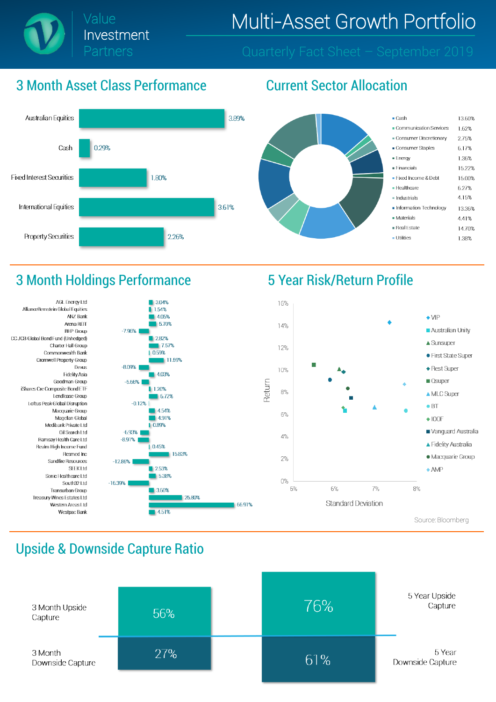

#### 3 Month Asset Class Performance Current Sector Allocation



4.05%

 $282%$ 

5.70%

17.57%

4.03%

6.72%

 $14.54%$ 

491%

0.45%

5.38%

 $\blacksquare$  3.60%

4.51%

15.83%

25.80%

11.59%



#### 3 Month Holdings Performance 5 Year Risk/Return Profile





#### Upside & Downside Capture Ratio

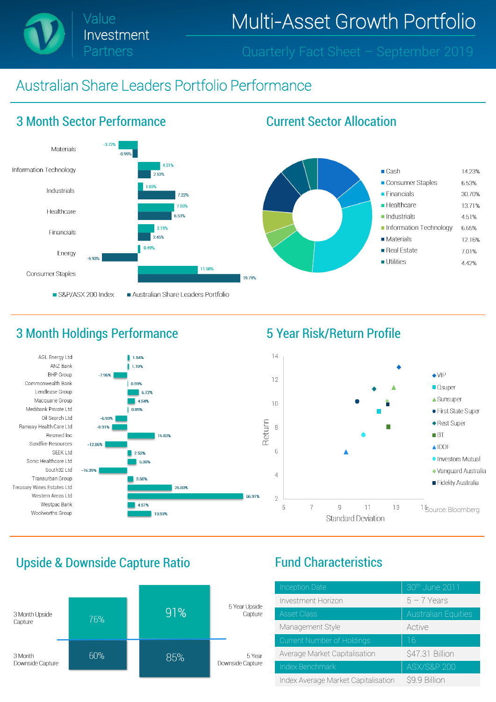Value Investment Partners

Multi-Asset Growth Portfolio

### Australian Share Leaders Portfolio Performance



#### 3 Month Holdings Performance **5 Year Risk/Return Profile**





#### Upside & Downside Capture Ratio Fund Characteristics



| <b>Inception Date</b>               | 30th June 2011             |
|-------------------------------------|----------------------------|
| Investment Horizon                  | $5 - 7$ Years              |
| <b>Asset Class</b>                  | <b>Australian Equities</b> |
| Management Style                    | Active                     |
| Current Number of Holdings          | 16                         |
| Average Market Capitalisation       | \$47.31 Billion            |
| Index Benchmark                     | <b>ASX/S&amp;P 200</b>     |
| Index Average Market Capitalisation | \$9.9 Billion              |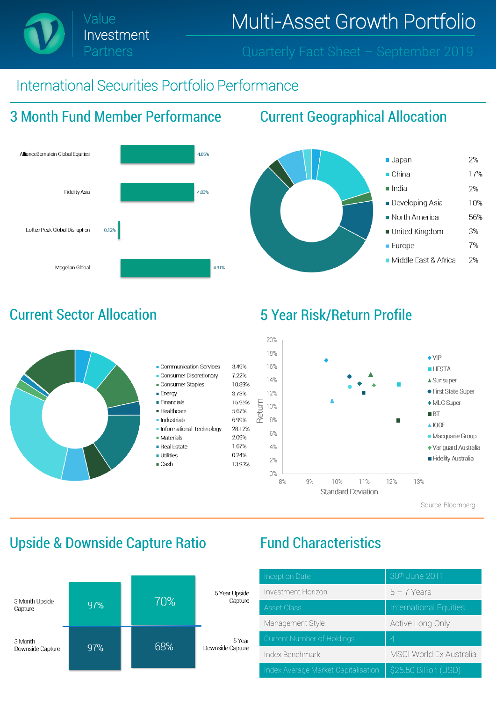### International Securities Portfolio Performance

## 3 Month Fund Member Performance Current Geographical Allocation

Investment

Partners







Source: Bloomberg

### Upside & Downside Capture Ratio Fund Characteristics



| <b>Inception Date</b>               | 30th June 2011                 |  |  |
|-------------------------------------|--------------------------------|--|--|
| Investment Horizon                  | $5 - 7$ Years                  |  |  |
| <b>Asset Class</b>                  | International Equities         |  |  |
| Management Style                    | Active Long Only               |  |  |
| Current Number of Holdings          | 4                              |  |  |
| Index Benchmark                     | <b>MSCI World Ex Australia</b> |  |  |
| Index Average Market Capitalisation | \$25.50 Billion (USD)          |  |  |

### Current Sector Allocation 5 Year Risk/Return Profile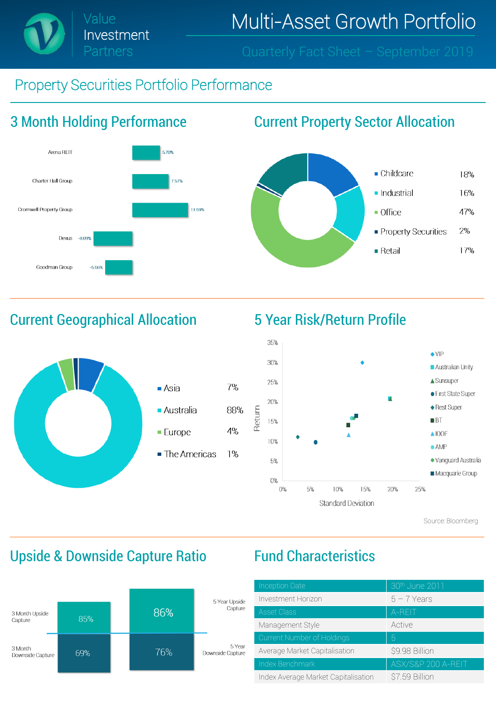

### Property Securities Portfolio Performance



### 3 Month Holding Performance Current Property Sector Allocation



### Current Geographical Allocation 5 Year Risk/Return Profile







Source: Bloomberg

### Upside & Downside Capture Ratio Fund Characteristics



| <b>Inception Date</b>               | 30th June 2011     |  |  |
|-------------------------------------|--------------------|--|--|
| Investment Horizon                  | $5 - 7$ Years      |  |  |
| <b>Asset Class</b>                  | A-REIT             |  |  |
| Management Style                    | Active             |  |  |
| Current Number of Holdings          | 5                  |  |  |
| Average Market Capitalisation       | \$9.98 Billion     |  |  |
| Index Benchmark                     | ASX/S&P 200 A-REIT |  |  |
| Index Average Market Capitalisation | \$7.59 Billion     |  |  |